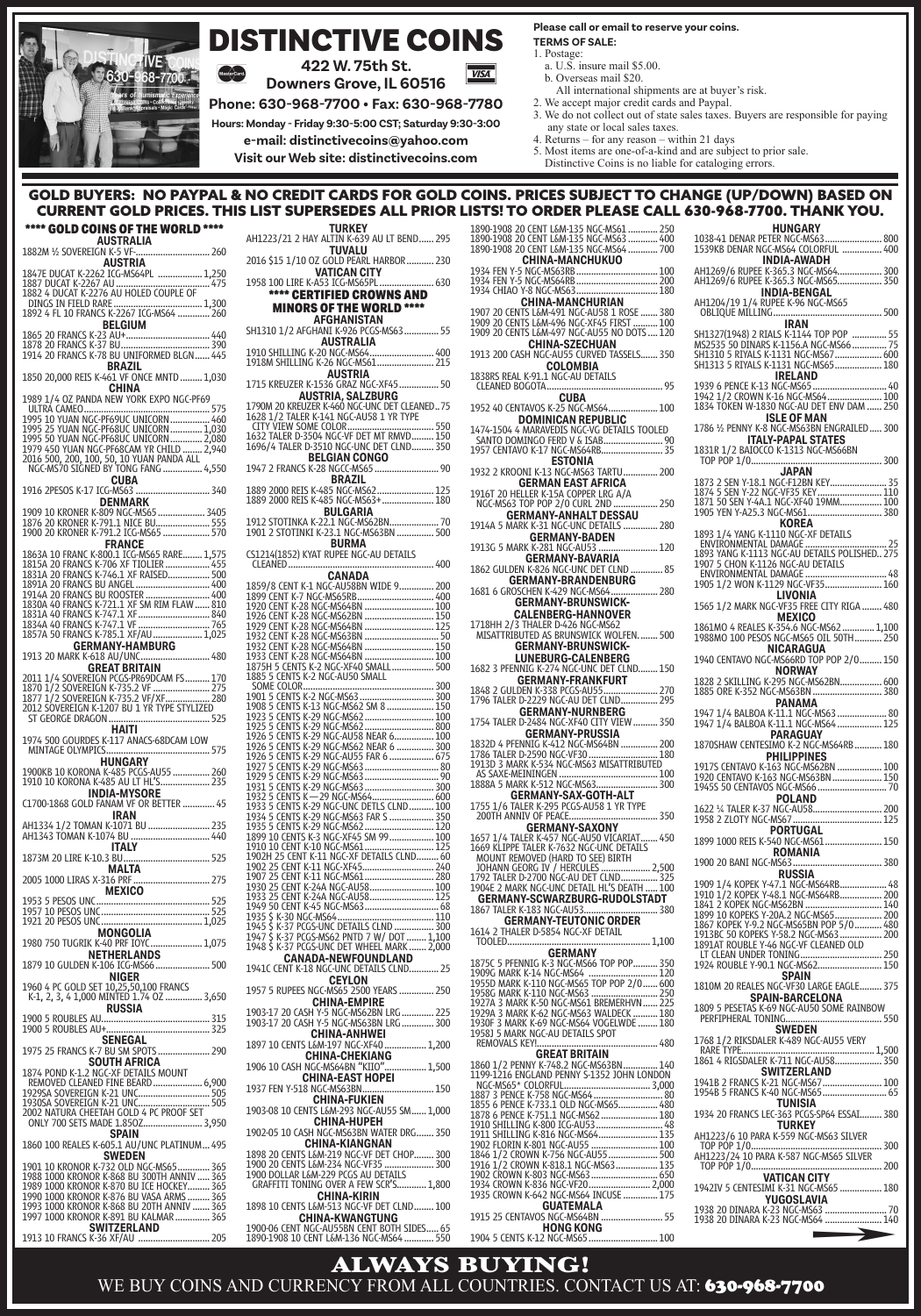

## DISTINCTIVE COINS **422 W. 75th St.**

**Downers Grove, IL 60516**

**Phone: 630-968-7700 • Fax: 630-968-7780**

**Hours: Monday - Friday 9:30-5:00 CST; Saturday 9:30-3:00**

**e-mail: distinctivecoins@yahoo.com**

**Visit our Web site: distinctivecoins.com**

#### **Please call or email to reserve your coins. TERMS OF SALE:**

- 1. Postage:
- a. U.S. insure mail \$5.00.
- b. Overseas mail \$20. All international shipments are at buyer's risk.
- 2. We accept major credit cards and Paypal.
- 3. We do not collect out of state sales taxes. Buyers are responsible for paying any state or local sales taxes.
- 4. Returns for any reason within 21 days
- 5. Most items are one-of-a-kind and are subject to prior sale.
- Distinctive Coins is no liable for cataloging errors.

#### GOLD BUYERS: NO PAYPAL & NO CREDIT CARDS FOR GOLD COINS. PRICES SUBJECT TO CHANGE (UP/DOWN) BASED ON<br> CURRENT GOLD PRICES. THIS LIST SUPERSEDES ALL PRIOR LISTS! TO ORDER PLEASE CALL 630-968-7700. THANK YOU. CURRENT GOLD PRICES. THIS LIST SUPERSEDES ALL PRIOR LIS

**VISA** 

## \*\*\*\* GOLD COINS OF THE WORLD \*\*\*\* **AUSTRALIA** 1882M ½ SOVEREIGN K-5 VF-.............................. <sup>260</sup> **AUSTRIA** 1847E DUCAT K-2262 ICG-MS64PL .................. 1,250 1887 DUCAT K-2267 AU ...................................... <sup>475</sup> 1882 4 DUCAT K-2276 AU HOLED COUPLE OF DINGS IN FIELD RARE .................................... 1,300 1892 4 FL 10 FRANCS K-2267 ICG-MS64 ............. <sup>260</sup> **BELGIUM** 1865 20 FRANCS K-23 AU+.................................. <sup>440</sup> 1878 20 FRANCS K-37 BU.................................... <sup>390</sup> 1914 20 FRANCS K-78 BU UNIFORMED BLGN...... <sup>445</sup> **BRAZIL** 1850 20,000 REIS K-461 VF ONCE MNTD ......... 1,030 **CHINA** 1989 1/4 OZ PANDA NEW YORK EXPO NGC-PF69 1995 10 YUAN NGC-PF69UC UNICORN ................. 460<br>1995 25 YUAN NGC-PF68UC UNICORN .............. 1,030<br>1995 50 YUAN NGC-PF68UC UNICORN ............. 2,080<br>1979 450 YUAN NGC-PF68CAM YR CHILD ........ 2,940 2016 500, 200, 100, 50, 10 YUAN PANDA ALL NGC-MS70 SIGNED BY TONG FANG ................ 4,550 **CUBA** 1916 2PESOS K-17 ICG-MS63 .............................. <sup>340</sup> **DENMARK** 1909 10 KRONER K-809 NGC-MS65 ................... <sup>3405</sup> 1876 20 KRONER K-791.1 NICE BU...................... <sup>555</sup> 1900 20 KRONER K-791.2 ICG-MS65 ................... <sup>570</sup> **FRANCE** 1863A 10 FRANC K-800.1 ICG-MS65 RARE........ 1,575 1815A 20 FRANCS K-706 XF TIOLIER .................. <sup>455</sup> 1831A 20 FRANCS K-746.1 XF RAISED................. <sup>500</sup> 1891A 20 FRANCS BU ANGEL.............................. <sup>400</sup> 1914A 20 FRANCS BU ROOSTER .......................... <sup>400</sup> 1830A 40 FRANCS K-721.1 XF SM RIM FLAW...... <sup>810</sup> 1831A 40 FRANCS K-747.1 XF............................. <sup>840</sup> 1834A 40 FRANCS K-747.1 VF............................. <sup>765</sup> 1857A 50 FRANCS K-785.1 XF/AU.................... 1,025 **1857A 50 FRANCS K-785.1 XF/AU ...........**<br>**GERMANY-HAMBURG** 1913 20 MARK K-618 AU/UNC............................ 480 **GREAT BRITAIN** 2011 1/4 SOVEREIGN PCGS-PR69DCAM FS.......... <sup>170</sup> 1870 1/2 SOVEREIGN K-735.2 VF ....................... <sup>275</sup> 1877 1/2 SOVEREIGN K-735.2 VF/XF.................. <sup>280</sup> 2012 SOVEREIGN K-1207 BU 1 YR TYPE STYLIZED ST GEORGE DRAGON......................................... 525 **HAITI** 1974 500 GOURDES K-117 ANACS-68DCAM LOW MINTAGE OLYMPICS.......................................... 575 **HUNGARY 10 AUGARY 1900KB 10 KORONA K-485 PUNGARY**<br>**HUNGARY** 1900KB 10 KORONA K-485 PCGS-AU55 ................. 260<br>1910 10 KORONA K-485 AU LT HL'S....................... 235 **INDIA-MYSORE** C1700-1868 GOLD FANAM VF OR BETTER ............. <sup>45</sup> **IRAN**<br>**IRAN**<br>**AH1334 1/2 TOMAN K-1071 BU.** AH1334 1/2 TOMAN K-1071 BU ......................... <sup>235</sup> AH1343 TOMAN K-1074 BU ................................ <sup>440</sup> **ITALY** 1873M 20 LIRE K-10.3 BU................................... <sup>525</sup> **MALTA** 2005 1000 LIRAS X-316 PRF............................... <sup>275</sup> **MEXICO** 1953 5 PESOS UNC.............................................. <sup>525</sup> 1957 10 PESOS UNC............................................ <sup>525</sup> 1921 20 PESOS UNC......................................... 1,025 **MONGOLIA**<br>1980 750 TUGRIK K-40 PRF IOYC....................... 1,075<br>**NETHERLANDS NETHERLANDS** 1879 10 GULDEN K-106 ICG-MS66...................... <sup>500</sup> **NIGER<br>1960 4 PC GOLD SET 10,25,50,100 FRANCS<br>K-1, 2, 3, 4 1,000 MINTED 1.74 OZ ................ 3,650 RUSSIA** 1900 5 ROUBLES AU............................................ <sup>315</sup> 1900 5 ROUBLES AU+.......................................... <sup>325</sup> **SENEGAL** 1975 25 FRANCS K-7 BU SM SPOTS..................... <sup>290</sup> **SOUTH AFRICA<br>1874 POND K-1.2 NGC-XF DETAILS MOUNT** REMOVED CLEANED FINE BEARD.................... 6,900 1929SA SOVEREIGN K-21 UNC............................. <sup>505</sup> 1930SA SOVEREIGN K-21 UNC............................. <sup>505</sup> 2002 NATURA CHEETAH GOLD 4 PC PROOF SET ONLY 700 SETS MADE 1.85OZ........................ 3,950 **SPAIN** 1860 100 REALES K-605.1 AU/UNC PLATINUM... 495 **1991 10 KRONOR K-530 CLAUSE AND STATE AND STATE AND STATE AND STATE AND STATE AND STATE AND STATE AND STATE AND STATE AND STATE AND STATE AND STATE AND STATE AND STATE AND STATE AND STATE AND STATE AND STATE AND STATE AND**

**SWITZERLAND<br>1913 10 FRANCS K-36 XF/AU ............................... 205** 

| <b>TURKEY</b>                                                                                             |
|-----------------------------------------------------------------------------------------------------------|
| AH1223/21 2 HAY ALTIN K-639 AU LT BEND 295<br>TUVALU                                                      |
| 2016 \$15 1/10 OZ GOLD PEARL HARBOR  230                                                                  |
| <b>VATICAN CITY</b>                                                                                       |
| 1958 100 LIRE K-A53 ICG-MS65PL  630                                                                       |
| **** CERTIFIED CROWNS AND                                                                                 |
| <b>MINORS OF THE WORLD ****</b>                                                                           |
| AFGHANISTAN                                                                                               |
| SH1310 1/2 AFGHANI K-926 PCGS-MS63 55                                                                     |
| AUSTRALIA                                                                                                 |
| 1910 SHILLING K-20 NGC-MS64 400<br>1918M SHILLING K-26 NGC-MS61 215                                       |
| AUSTRIA                                                                                                   |
| 1715 KREUZER K-1536 GRAZ NGC-XF45  50                                                                     |
|                                                                                                           |
|                                                                                                           |
|                                                                                                           |
|                                                                                                           |
|                                                                                                           |
| BELGIAN CONGO<br>1947 2 FRANCS K-28 NGCC-MS65  90                                                         |
| <b>BRAZIL</b>                                                                                             |
| .<br>1889 2000 REIS К-485 NGC-MS62 125<br>1889 2000 REIS К-485 NGC-MS63+ 180                              |
|                                                                                                           |
| BULGARIA                                                                                                  |
| 1912 STOTINKA K-22.1 NGC-MS62BN 70<br>1901 2 STOTINKI K-23.1 NGC-MS63BN  500                              |
| BURMA                                                                                                     |
| CS1214(1852) KYAT RUPEE NGC-AU DETAILS                                                                    |
| CLEANED                                                                                                   |
| CANADA                                                                                                    |
|                                                                                                           |
|                                                                                                           |
|                                                                                                           |
|                                                                                                           |
|                                                                                                           |
|                                                                                                           |
|                                                                                                           |
|                                                                                                           |
|                                                                                                           |
|                                                                                                           |
|                                                                                                           |
|                                                                                                           |
|                                                                                                           |
|                                                                                                           |
|                                                                                                           |
|                                                                                                           |
|                                                                                                           |
|                                                                                                           |
|                                                                                                           |
|                                                                                                           |
|                                                                                                           |
|                                                                                                           |
|                                                                                                           |
|                                                                                                           |
|                                                                                                           |
|                                                                                                           |
|                                                                                                           |
|                                                                                                           |
| CANADA-NEWFOUNDLAND                                                                                       |
| K-18 NGC-UNC DETAILS CLND 25<br><b>1941C CENT</b>                                                         |
| <b>CEYLON</b><br>1957 5 RUPEES NGC-MS65 2500 YEARS  250                                                   |
|                                                                                                           |
| <b>CHINA-EMPIRE</b><br>1903-17 20 CASH Y-5 NGC-MS62BN LRG  225<br>1903-17 20 CASH Y-5 NGC-MS63BN LRG  300 |
|                                                                                                           |
| <b>CHINA-ANHWEI</b><br>1897 10 CENTS L&M-197 NGC-XF40.<br>1,200                                           |
| CHINA-CHEKIANG                                                                                            |
| 1906 10 CASH NGC-MS64BN "KIIO"<br>1,500                                                                   |
| CHINA-EAST HOPEI                                                                                          |
| 1937 FEN Y-518 NGC-MS63BN.<br>150<br><b>CHINA-FUKIEN</b>                                                  |
| 1903-08 10 CENTS L&M-293 NGC-AU55 SM  1,000                                                               |
| CHINA-HUPEH                                                                                               |
| 1902-05 10 CASH NGC-MS63BN WATER DRG  350                                                                 |
| CHINA-KIANGNAN                                                                                            |
| 1898 20 CENTS L&M-219 NGC-VF DET CHOP 300                                                                 |
| 1900 DOLLAR L&M-229 PCGS AU DETAILS                                                                       |
| GRAFFITI TONING OVER A FEW SCR'S  1,800                                                                   |
| CHINA-KIRIN<br>1898 10 CENTS L&M-513 NGC-VF DET CLND  100                                                 |
| <b>CHINA-KWANGTUNG</b>                                                                                    |
| 1900-06 CENT NGC-AU55BN CENT BOTH SIDES 65<br>1890-1908 10 CENT L&M-136 NGC-MS64  550                     |
|                                                                                                           |

| ISTS! TO ORDER PLEASE CALL 6                                                                                                                                                                                                         |  |
|--------------------------------------------------------------------------------------------------------------------------------------------------------------------------------------------------------------------------------------|--|
|                                                                                                                                                                                                                                      |  |
| 1890-1908 20 CENT L&M-135 NGC-MS61  250<br>1890-1908 20 CENT L&M-135 NGC-MS63  400<br>1890-1908 20 CENT L&M-135 NGC-MS64  700                                                                                                        |  |
| CHINA-MANCHUKUO                                                                                                                                                                                                                      |  |
|                                                                                                                                                                                                                                      |  |
|                                                                                                                                                                                                                                      |  |
|                                                                                                                                                                                                                                      |  |
|                                                                                                                                                                                                                                      |  |
|                                                                                                                                                                                                                                      |  |
| CHINA-SZECHUAN                                                                                                                                                                                                                       |  |
| 1913 200 CASH NGC-AU55 CURVED TASSELS  350<br>COLOMBIA                                                                                                                                                                               |  |
| 1838RS REAL K-91.1 NGC-AU DETAILS                                                                                                                                                                                                    |  |
| CLEANED BOGOTA                                                                                                                                                                                                                       |  |
| <b>CUBA</b><br>1952 40 CENTAVOS K-25 NGC-MS64 100                                                                                                                                                                                    |  |
| <b>DOMINICAN REPUBLIC</b>                                                                                                                                                                                                            |  |
| 1474-1504 4 MARAVEDIS NGC-VG DETAILS TOOLED                                                                                                                                                                                          |  |
|                                                                                                                                                                                                                                      |  |
| <b>ESTONIA</b>                                                                                                                                                                                                                       |  |
| 1932 2 KROONI K-13 NGC-MS63 TARTU 200<br><b>GERMAN EAST AFRICA</b>                                                                                                                                                                   |  |
|                                                                                                                                                                                                                                      |  |
|                                                                                                                                                                                                                                      |  |
|                                                                                                                                                                                                                                      |  |
|                                                                                                                                                                                                                                      |  |
| GERMANY-BADEN<br>1913G 5 MARK K-281 NGC-AU53  120                                                                                                                                                                                    |  |
| GERMANY-BAVARIA<br>1862 GULDEN K-826 NGC-UNC DET CLND  85                                                                                                                                                                            |  |
|                                                                                                                                                                                                                                      |  |
| <b>GERMANY-BRANDENBURG</b><br>1681 6 GROSCHEN K-429 NGC-MS64 280                                                                                                                                                                     |  |
| <b>GERMANY-BRUNSWICK-</b>                                                                                                                                                                                                            |  |
| CALENBERG-HANNOVER<br>1718HH 2/3 THALER D-426 NGC-MS62<br>MISATTRIBUTED AS BRUNSWICK WOLFEN 500                                                                                                                                      |  |
|                                                                                                                                                                                                                                      |  |
| <b>GERMANY-BRUNSWICK-</b>                                                                                                                                                                                                            |  |
| LUNEBURG-CALENBERG<br>1682 3 PFENNIG K-274 NGC-UNC DET CLND 150                                                                                                                                                                      |  |
|                                                                                                                                                                                                                                      |  |
|                                                                                                                                                                                                                                      |  |
| <b>COLORATION CONTRACT CONTRACT CONTRACT CONTRACT CONTRACT CONTRACT CONTRACT CONTRACT CONTRACT CONTRACT CONTRACT CONTRACT CONTRACT CONTRACT CONTRACT CONTRACT CONTRACT CONTRACT CONTRACT CONTRACT CONTRACT CONTRACT CONTRACT CON</b> |  |
| 1754 TALER D-2484 NGC-XF40 CITY VIEW  350<br>GERMANY-PRUSSIA                                                                                                                                                                         |  |
|                                                                                                                                                                                                                                      |  |
|                                                                                                                                                                                                                                      |  |
|                                                                                                                                                                                                                                      |  |
|                                                                                                                                                                                                                                      |  |
|                                                                                                                                                                                                                                      |  |
|                                                                                                                                                                                                                                      |  |
| <b>GERMANY-SAXONY</b>                                                                                                                                                                                                                |  |
| 1657 1/4 TALER K-457 NGC-AU50 VICARIAT<br>1669 KLIPPE TALER K-7632 NGC-UNC DETAILS<br>MOUNT REMOVED (HARD TO SEE) BIRTH<br>450                                                                                                       |  |
|                                                                                                                                                                                                                                      |  |
|                                                                                                                                                                                                                                      |  |
|                                                                                                                                                                                                                                      |  |
|                                                                                                                                                                                                                                      |  |
| 380                                                                                                                                                                                                                                  |  |
| 1614 2 THALER D-5854 NGC-XF DETAIL                                                                                                                                                                                                   |  |
| TOOLED<br>1,100                                                                                                                                                                                                                      |  |
| <b>GERMANY</b>                                                                                                                                                                                                                       |  |
|                                                                                                                                                                                                                                      |  |
| 1875C 5 PFENNIG K: 3 NGC-MS66 TOP POP 350<br>1909G MARK K:14 NGC-MS66 - 100P POP 120<br>1955D MARK K:110 NGC-MS66 - 100P POP 2/0 600<br>1958G MARK K:110 NGC-MS63 - 11111111111111225<br>1920A 3 MARK K:6                            |  |
|                                                                                                                                                                                                                                      |  |
|                                                                                                                                                                                                                                      |  |
| 1958J 5 MARK NGC-AU DETAILS SPOT                                                                                                                                                                                                     |  |
|                                                                                                                                                                                                                                      |  |
| GREAT BRITAIN<br>GREAT BRITAIN<br>1860 1/2 PENNY K-748.2 NGC-MS63BN 140<br>1992 1216 ENGLAND PENNY S-1352 JOHN LONDON                                                                                                                |  |
|                                                                                                                                                                                                                                      |  |
|                                                                                                                                                                                                                                      |  |
|                                                                                                                                                                                                                                      |  |
|                                                                                                                                                                                                                                      |  |
|                                                                                                                                                                                                                                      |  |
|                                                                                                                                                                                                                                      |  |
|                                                                                                                                                                                                                                      |  |
|                                                                                                                                                                                                                                      |  |
|                                                                                                                                                                                                                                      |  |
| <b>GUATEMALA</b>                                                                                                                                                                                                                     |  |
|                                                                                                                                                                                                                                      |  |

| 1733 CNUWIN NO42 INUC INIJO4 INCO3L  173 |  |
|------------------------------------------|--|
| <b>GUATEMALA</b>                         |  |
|                                          |  |
| <b>HONG KONG</b>                         |  |
| 1904 5 CENTS K-12 NGC-MS65  100          |  |

| <b>HUNGARY</b>                                                                                                                                                 |  |
|----------------------------------------------------------------------------------------------------------------------------------------------------------------|--|
| <b>INDIA-AWADH</b>                                                                                                                                             |  |
| AH1269/6 RUPEE K-365.3 NGC-MS64 300<br>AH1269/6 RUPEE K-365.3 NGC-MS65 350                                                                                     |  |
| <b>INDIA-BENGAL</b>                                                                                                                                            |  |
| IRAN                                                                                                                                                           |  |
| SH1327(1948) 2 RIALS K 1144 TOP POP   55<br>MS2535 50 DINARS K 1156.A NGC MS66 75<br>SH1310 5 RIYALS K-1131 NGC MS67 600<br>SH1313 5 RIYALS K-1131 NGC MS65 18 |  |
|                                                                                                                                                                |  |
|                                                                                                                                                                |  |
| <b>IRELAND</b>                                                                                                                                                 |  |
| 1939 6 PENCE K-13 NGC-MS65  40<br>1942 1/2 CROWN K-16 NGC-MS64  100<br>1834 TOKEN W-1830 NGC-AU DET ENV DAM  250                                               |  |
|                                                                                                                                                                |  |
| <b>ISLE OF MAN</b><br>1786 1/2 PENNY K-8 NGC-MS63BN ENGRAILED  300                                                                                             |  |
| <b>ITALY-PAPAL STATES</b><br>BAIOCCO K-1313 NGC-MS66BN<br>1831R1<br>/2                                                                                         |  |
|                                                                                                                                                                |  |
|                                                                                                                                                                |  |
|                                                                                                                                                                |  |
|                                                                                                                                                                |  |
| KOREA                                                                                                                                                          |  |
| 1893 1/4 YANG K-1110 NGC-XF DETAILS                                                                                                                            |  |
|                                                                                                                                                                |  |
|                                                                                                                                                                |  |
|                                                                                                                                                                |  |
| LIVONIA                                                                                                                                                        |  |
| 1565 1/2 MARK NGC-VF35 FREE CITY RIGA  480                                                                                                                     |  |
| <b>MEXICO</b>                                                                                                                                                  |  |
|                                                                                                                                                                |  |
| NICARAGUA<br>1940 CENTAVO NGC-MS66RD TOP POP 2/0  150                                                                                                          |  |
| <b>NORWAY</b>                                                                                                                                                  |  |
|                                                                                                                                                                |  |
| <b>PANAMA</b><br>1947 1/4 BALBOA K-11.1 NGC-MS63  80<br>1947 1/4 BALBOA K-11.1 NGC-MS64  125                                                                   |  |
| PARAGUAY                                                                                                                                                       |  |
| 1870SHAW CENTESIMO K-2 NGC-MS64RB  180                                                                                                                         |  |
| PHILIPPINES                                                                                                                                                    |  |
| 1917S CENTAVO K-163 NGC-MS62BN  100<br>1920 CENTAVO K-163 NGC-MS63BN  150<br>1945S 50 CENTAVOS NGC-MS66  70                                                    |  |
|                                                                                                                                                                |  |
|                                                                                                                                                                |  |
|                                                                                                                                                                |  |
| 1899 1000 REIS K-540 NGC-MS61 150                                                                                                                              |  |
|                                                                                                                                                                |  |
| 1900 20 BANI NGC-MS63                                                                                                                                          |  |
|                                                                                                                                                                |  |
|                                                                                                                                                                |  |
|                                                                                                                                                                |  |
|                                                                                                                                                                |  |
|                                                                                                                                                                |  |
|                                                                                                                                                                |  |
|                                                                                                                                                                |  |
| SPAIN<br>1810M 20 REALES NGC-VF30 LARGE EAGLE 375                                                                                                              |  |
| SPAIN-BARCELONA                                                                                                                                                |  |
| 1809 5 PESETAS K-69 NGC-AU50 SOME RAINBOW<br>PERFIPHERAL TONING.<br>550                                                                                        |  |
| <b>SWEDEN</b>                                                                                                                                                  |  |
| NGC-AU55 VERY<br>1768 1/2 RIKSDALER<br>N<br>RARE TYPE.<br>1,500                                                                                                |  |
|                                                                                                                                                                |  |
| <b>SWITZERLAND</b>                                                                                                                                             |  |
| 1941B 2 FRANCS K-21 NGC-MS67 100<br>1954B 5 FRANCS K-40 NGC-MS65 65                                                                                            |  |
| TUNISIA                                                                                                                                                        |  |
| 1934 20 FRANCS LEC-<br>363 PCGS-SP64 ESSAI  380<br><b>TURKEY</b>                                                                                               |  |
|                                                                                                                                                                |  |
|                                                                                                                                                                |  |
| TOP PÓP 1/0<br>200                                                                                                                                             |  |
| <b>VATICAN CITY</b>                                                                                                                                            |  |
| 1942IV 5 CENTESIMI K-31 NGC-MS65  180<br>YUGOSLAVIA                                                                                                            |  |
|                                                                                                                                                                |  |
|                                                                                                                                                                |  |
| ∍                                                                                                                                                              |  |
| <b>Service Service</b>                                                                                                                                         |  |

ALWAYS BUYING! WE BUY COINS AND CURRENCY FROM ALL COUNTRIES. CONTACT US AT: 630-968-7700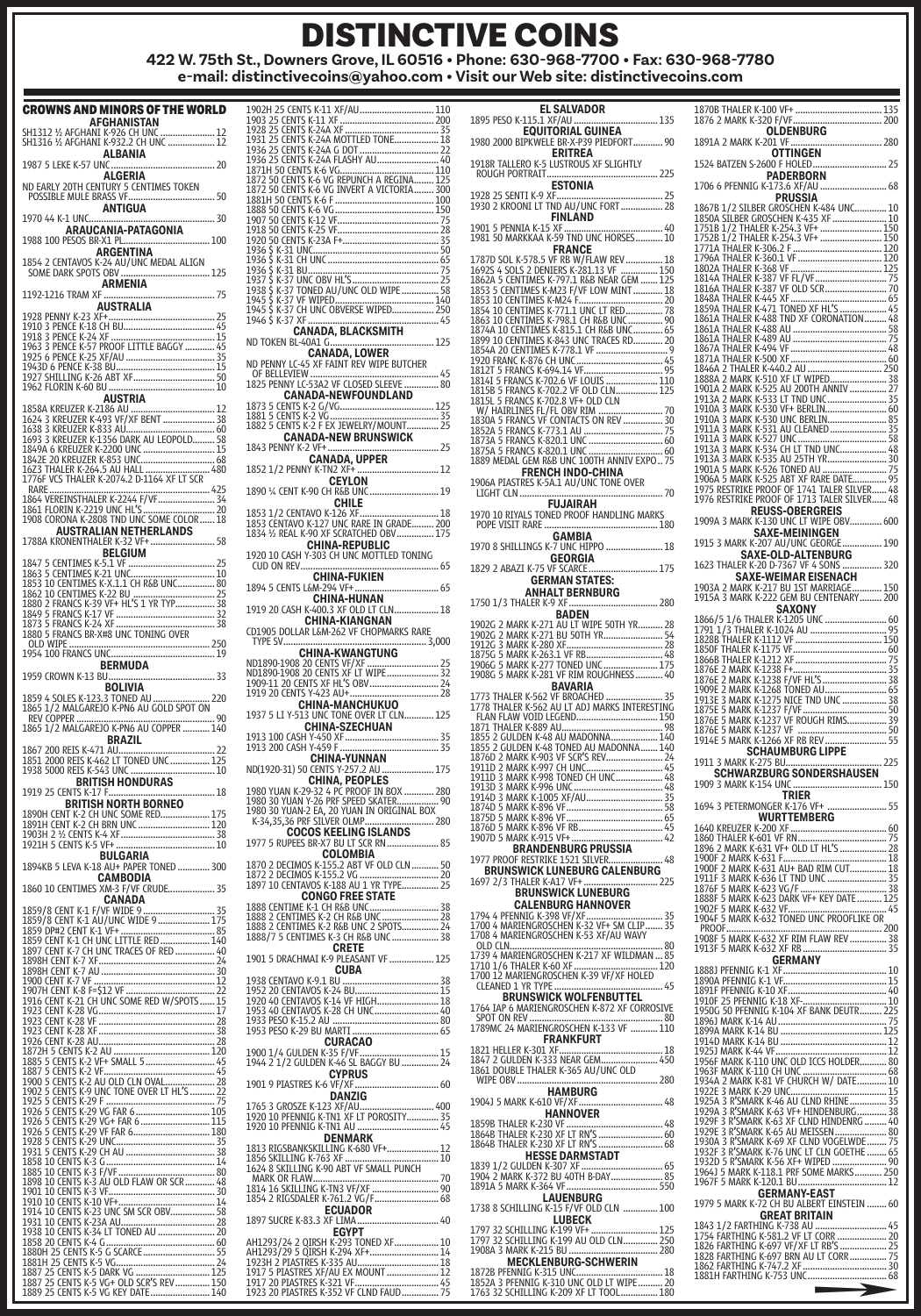## DISTINCTIVE COINS

**422 W. 75th St., Downers Grove, IL 60516 • Phone: 630-968-7700 • Fax: 630-968-7780 e-mail: distinctivecoins@yahoo.com • Visit our Web site: distinctivecoins.com**

| CROWNS AND MINORS OF THE WORLD                                                                                                                                                                                                                      |
|-----------------------------------------------------------------------------------------------------------------------------------------------------------------------------------------------------------------------------------------------------|
| AFGHANISTAN                                                                                                                                                                                                                                         |
| SH1312 ½ AFGHANI K-926 CH UNC  12<br>SH1316 ½ AFGHANI K-932.2 CH UNC  12                                                                                                                                                                            |
| <b>ALBANIA</b>                                                                                                                                                                                                                                      |
| 1987 5 LEKE K-57 UNC<br>20<br><br><b>ALGERIA</b>                                                                                                                                                                                                    |
|                                                                                                                                                                                                                                                     |
| ANTIGUA                                                                                                                                                                                                                                             |
| 1970 44 K-1 UNC.                                                                                                                                                                                                                                    |
|                                                                                                                                                                                                                                                     |
|                                                                                                                                                                                                                                                     |
| ARGENTINA                                                                                                                                                                                                                                           |
|                                                                                                                                                                                                                                                     |
| <b>ARMENIA</b>                                                                                                                                                                                                                                      |
| AUSTRALIA                                                                                                                                                                                                                                           |
| 1928 PENNY K-23 XF+<br>1910 3 PENCE K-18 CH BU (1998)<br>1918 3 PENCE K-24 XF (1998)<br>1918 3 PENCE K-24 XF (1998)<br>1925 3 PENCE K-25 PROOF LITTLE BAGOY (1999)<br>1925 6 PENCE K-25 XF/AU (1998)<br>1943 D 6 PENCE K-38 BU (1998)<br>1925 SHILI |
|                                                                                                                                                                                                                                                     |
|                                                                                                                                                                                                                                                     |
|                                                                                                                                                                                                                                                     |
|                                                                                                                                                                                                                                                     |
| <b>AUSTRIA</b>                                                                                                                                                                                                                                      |
| AUSTRIA (ANGLER AND AN ANGLES AN ANGLES AN ANGLES AN ANGLES AN ANGLES AN ANGLES AN ANGLES AND AN ANGLES AND AN ANGLES AND AN ANGLES AND AN ANGLES AND AN ANGLES AND AN ANGLES AND AN ANGLES THALL AND A CONSULT AND A CONSULT                       |
|                                                                                                                                                                                                                                                     |
|                                                                                                                                                                                                                                                     |
|                                                                                                                                                                                                                                                     |
|                                                                                                                                                                                                                                                     |
|                                                                                                                                                                                                                                                     |
|                                                                                                                                                                                                                                                     |
|                                                                                                                                                                                                                                                     |
| <b>AUSTRALIAN NETHERLANDS</b>                                                                                                                                                                                                                       |
| 1788A KRONENTHALER K-32 VF+  58                                                                                                                                                                                                                     |
|                                                                                                                                                                                                                                                     |
|                                                                                                                                                                                                                                                     |
|                                                                                                                                                                                                                                                     |
|                                                                                                                                                                                                                                                     |
|                                                                                                                                                                                                                                                     |
|                                                                                                                                                                                                                                                     |
|                                                                                                                                                                                                                                                     |
|                                                                                                                                                                                                                                                     |
|                                                                                                                                                                                                                                                     |
|                                                                                                                                                                                                                                                     |
|                                                                                                                                                                                                                                                     |
|                                                                                                                                                                                                                                                     |
|                                                                                                                                                                                                                                                     |
|                                                                                                                                                                                                                                                     |
|                                                                                                                                                                                                                                                     |
| <b>BRITISH HONDURAS</b>                                                                                                                                                                                                                             |
|                                                                                                                                                                                                                                                     |
| 1919 25 CENTS K-17 F<br>1890H CENT K-12 F HORTH BORNEO<br>1890H CENT K-2 CH UNC SOME RED.<br>19189H CENT K-2 CH UNC SOME RED.<br>1903H 2 36 CENTS K-4 XF<br>1921H 5 CENTS K-5 VFH CADIA 2001H 1912H 5 CENTS K-5 DHU CADIA 2001                      |
|                                                                                                                                                                                                                                                     |
|                                                                                                                                                                                                                                                     |
| BULGARIA                                                                                                                                                                                                                                            |
| 1894KB 5 LEVA K-18 AU+ PAPER TONED  300                                                                                                                                                                                                             |
| <b>CAMBODIA</b><br><b>САМБОЛИ</b><br>1860 10 CENTIMES XM-3 F/VF CRUDE 35                                                                                                                                                                            |
|                                                                                                                                                                                                                                                     |
|                                                                                                                                                                                                                                                     |
|                                                                                                                                                                                                                                                     |
|                                                                                                                                                                                                                                                     |
|                                                                                                                                                                                                                                                     |
|                                                                                                                                                                                                                                                     |
|                                                                                                                                                                                                                                                     |
|                                                                                                                                                                                                                                                     |
|                                                                                                                                                                                                                                                     |
|                                                                                                                                                                                                                                                     |
|                                                                                                                                                                                                                                                     |
|                                                                                                                                                                                                                                                     |
|                                                                                                                                                                                                                                                     |
|                                                                                                                                                                                                                                                     |
|                                                                                                                                                                                                                                                     |
|                                                                                                                                                                                                                                                     |
|                                                                                                                                                                                                                                                     |
|                                                                                                                                                                                                                                                     |
|                                                                                                                                                                                                                                                     |
|                                                                                                                                                                                                                                                     |
|                                                                                                                                                                                                                                                     |
|                                                                                                                                                                                                                                                     |
|                                                                                                                                                                                                                                                     |
|                                                                                                                                                                                                                                                     |
|                                                                                                                                                                                                                                                     |
|                                                                                                                                                                                                                                                     |
|                                                                                                                                                                                                                                                     |
|                                                                                                                                                                                                                                                     |

| 1936 25 CENTS K-24A FLASHY AU ARREGINA (1978)<br>1871 5 DO CENTS K-6 VG REPUNCH A REGINA (1978)<br>1872 50 CENTS K-6 VG REPUNCH A REGINA (1978)<br>1881 1930 CENTS K-6 VG INVERT A VICTORIA (1979)<br>1980 50 CENTS K-6 CENTS (1979)<br>1997     |
|--------------------------------------------------------------------------------------------------------------------------------------------------------------------------------------------------------------------------------------------------|
|                                                                                                                                                                                                                                                  |
|                                                                                                                                                                                                                                                  |
|                                                                                                                                                                                                                                                  |
| CANADA-NEWFOUNDLAND                                                                                                                                                                                                                              |
|                                                                                                                                                                                                                                                  |
|                                                                                                                                                                                                                                                  |
| <b>CANADA-NEW BRUNSWICK</b>                                                                                                                                                                                                                      |
|                                                                                                                                                                                                                                                  |
|                                                                                                                                                                                                                                                  |
|                                                                                                                                                                                                                                                  |
| <b>CHILE</b>                                                                                                                                                                                                                                     |
|                                                                                                                                                                                                                                                  |
|                                                                                                                                                                                                                                                  |
| CHINA-REPUBLIC<br>1920 10 CASH Y-303 CH UNC MOTTLED TONING                                                                                                                                                                                       |
| CUD ON REV                                                                                                                                                                                                                                       |
|                                                                                                                                                                                                                                                  |
| 1894 5 CENTS L&M-294 VF+                                                                                                                                                                                                                         |
| <b>CHINA-HUNAN</b><br>1919 20 CASH K-400.3 XF OLD LT CLN 18                                                                                                                                                                                      |
| <b>CHINA-KIANGNAN</b>                                                                                                                                                                                                                            |
| 3,000                                                                                                                                                                                                                                            |
| 111 - JANUARY - THINA-KWANGTUNG<br>ND1890-1908 20 CENTS VF/XF<br>ND1890-1908 20 CENTS VF/XF<br>ND1890-1908 20 CENTS XF (IT WIPE, 2008)<br>1919-11 20 CENTS XF HL'S OBV<br>1919 20 CENTS Y-423 AU+                                                |
|                                                                                                                                                                                                                                                  |
|                                                                                                                                                                                                                                                  |
|                                                                                                                                                                                                                                                  |
|                                                                                                                                                                                                                                                  |
|                                                                                                                                                                                                                                                  |
|                                                                                                                                                                                                                                                  |
| <b>CHINA-YUNNAN</b>                                                                                                                                                                                                                              |
|                                                                                                                                                                                                                                                  |
|                                                                                                                                                                                                                                                  |
|                                                                                                                                                                                                                                                  |
|                                                                                                                                                                                                                                                  |
| 1977 5 RUPEES BR-X7 BU LT SCR RN                                                                                                                                                                                                                 |
| COLOMBIA                                                                                                                                                                                                                                         |
|                                                                                                                                                                                                                                                  |
|                                                                                                                                                                                                                                                  |
|                                                                                                                                                                                                                                                  |
|                                                                                                                                                                                                                                                  |
|                                                                                                                                                                                                                                                  |
| <b>CRETE</b>                                                                                                                                                                                                                                     |
| 1901 5 DRACHMAI K-9 PLEASANT VF  125                                                                                                                                                                                                             |
| CUBA                                                                                                                                                                                                                                             |
| 1938 CENTAVO K-9.1 BU <b>ANDER ANGLES 20 CENTAVO K-9.1 BU ANDER ANGLES 20 CENTAVOS K-14 BU ANGLES 20 CENTAVO K<br/>1920 40 CENTAVOS K-14 VF HIGH<br/>1933 40 CENTAVOS K-14 VF HIGH<br/>1933 PESO K-15.2 AU ANRIT ANGLES 20 CENTAVOS K-14 BU </b> |
|                                                                                                                                                                                                                                                  |
|                                                                                                                                                                                                                                                  |
|                                                                                                                                                                                                                                                  |
|                                                                                                                                                                                                                                                  |
|                                                                                                                                                                                                                                                  |
| <b>CYPRUS</b>                                                                                                                                                                                                                                    |
| DANZIG                                                                                                                                                                                                                                           |
|                                                                                                                                                                                                                                                  |
|                                                                                                                                                                                                                                                  |
|                                                                                                                                                                                                                                                  |
|                                                                                                                                                                                                                                                  |
|                                                                                                                                                                                                                                                  |
|                                                                                                                                                                                                                                                  |
|                                                                                                                                                                                                                                                  |
| <b>ECUADOR</b><br>1897 SUCRE K-83.3 XF LIMA 40                                                                                                                                                                                                   |
| <b>EGYPT</b>                                                                                                                                                                                                                                     |
|                                                                                                                                                                                                                                                  |
| 1917 5 PIASTRES XF/AU EX MOUNT  12                                                                                                                                                                                                               |
|                                                                                                                                                                                                                                                  |

AH1293/24 2 QIRSH K-293 TONED XF.................. <sup>10</sup> AH1293/29 5 QIRSH K-294 XF+............................ <sup>14</sup> 1923H 2 PIASTRES K-335 AU................................. <sup>18</sup> 1917 5 PIASTRES XF/AU EX MOUNT ..................... <sup>12</sup> 1917 20 PIASTRES K-321 VF.................................. <sup>45</sup> 1923 20 PIASTRES K-352 VF CLND FAUD............... <sup>75</sup>

| EL SALVADOR                                                                                                                                                                         |
|-------------------------------------------------------------------------------------------------------------------------------------------------------------------------------------|
|                                                                                                                                                                                     |
|                                                                                                                                                                                     |
|                                                                                                                                                                                     |
|                                                                                                                                                                                     |
| 1980 2000 BIPKWELE BR-X-P39 PIEDFORT 90                                                                                                                                             |
|                                                                                                                                                                                     |
|                                                                                                                                                                                     |
|                                                                                                                                                                                     |
|                                                                                                                                                                                     |
|                                                                                                                                                                                     |
| FINLAND                                                                                                                                                                             |
|                                                                                                                                                                                     |
|                                                                                                                                                                                     |
| <b>FRANCE</b>                                                                                                                                                                       |
|                                                                                                                                                                                     |
|                                                                                                                                                                                     |
|                                                                                                                                                                                     |
| 1787D SOL K-578.5 VF RB W/FLAW REV18<br>1692S 4 SOLS 2 DENIERS K-281.13 VF 150<br>1862A 5 CENTIMES K-797.1 R&B NEAR GEM 125<br>1853 5 CENTIMES K-M23 F/VF LOW MINT 18               |
|                                                                                                                                                                                     |
|                                                                                                                                                                                     |
|                                                                                                                                                                                     |
|                                                                                                                                                                                     |
|                                                                                                                                                                                     |
|                                                                                                                                                                                     |
|                                                                                                                                                                                     |
|                                                                                                                                                                                     |
|                                                                                                                                                                                     |
|                                                                                                                                                                                     |
|                                                                                                                                                                                     |
|                                                                                                                                                                                     |
|                                                                                                                                                                                     |
|                                                                                                                                                                                     |
|                                                                                                                                                                                     |
|                                                                                                                                                                                     |
|                                                                                                                                                                                     |
| <b>FRENCH INDO-CHINA</b>                                                                                                                                                            |
| 1906A PIASTRES K-5A.1 AU/UNC TONE OVER                                                                                                                                              |
| <b>LIGHT CLN </b>                                                                                                                                                                   |
| <b>FUJAIRAH</b>                                                                                                                                                                     |
| 1970 10 RIYALS TONED PROOF HANDLING MARKS                                                                                                                                           |
|                                                                                                                                                                                     |
| GAMBIA                                                                                                                                                                              |
| 1970 8 SHILLINGS K-7 UNC HIPPO  18                                                                                                                                                  |
| <b>GEORGIA</b>                                                                                                                                                                      |
| 1829 2 ABAZI K-75 VF SCARCE                                                                                                                                                         |
|                                                                                                                                                                                     |
| <b>GERMAN STATES:</b>                                                                                                                                                               |
| <b>ANHALT BERNBURG</b>                                                                                                                                                              |
|                                                                                                                                                                                     |
| <b>BADEN</b>                                                                                                                                                                        |
|                                                                                                                                                                                     |
|                                                                                                                                                                                     |
|                                                                                                                                                                                     |
|                                                                                                                                                                                     |
|                                                                                                                                                                                     |
|                                                                                                                                                                                     |
| <b>BAVARIA</b>                                                                                                                                                                      |
|                                                                                                                                                                                     |
|                                                                                                                                                                                     |
| FLAN FLAW VOID LEGEND 150                                                                                                                                                           |
|                                                                                                                                                                                     |
|                                                                                                                                                                                     |
|                                                                                                                                                                                     |
|                                                                                                                                                                                     |
|                                                                                                                                                                                     |
|                                                                                                                                                                                     |
|                                                                                                                                                                                     |
|                                                                                                                                                                                     |
|                                                                                                                                                                                     |
|                                                                                                                                                                                     |
|                                                                                                                                                                                     |
|                                                                                                                                                                                     |
|                                                                                                                                                                                     |
| <b>BRANDENBURG PRUSSIA</b>                                                                                                                                                          |
| 1977 PROOF RESTRIKE 1521 SILVER<br>. 48                                                                                                                                             |
| <b>BRUNSWICK LUNEBURG CALENBURG</b>                                                                                                                                                 |
| 1697 2/3 THALER K-A17 VF+<br>225                                                                                                                                                    |
| <b>BRUNSWICK LUNEBURG</b>                                                                                                                                                           |
| <b>CALENBURG HANNOVER</b>                                                                                                                                                           |
| 1794 4 PFI<br>K-398 VF/XI<br>35<br>                                                                                                                                                 |
| 1700 4 MARIENGROSCHEN K-32 VF+ SM CLIP 35                                                                                                                                           |
| 1708 4 MARIENGROSCHEN K-53 XF/AU WAVY                                                                                                                                               |
|                                                                                                                                                                                     |
| OLD CLN<br>80<br>1739 4 MARIENGROSCHEN K-217 XF WILDMAN  85                                                                                                                         |
|                                                                                                                                                                                     |
|                                                                                                                                                                                     |
| CLEANED 1 YR TYPE                                                                                                                                                                   |
| . 45                                                                                                                                                                                |
| <b>BRUNSWICK WOLFENBUTTEL</b><br>1764 IAP 6 MARIENGROSCHEN K-872 XF CORROSIVE                                                                                                       |
|                                                                                                                                                                                     |
|                                                                                                                                                                                     |
| <b>FRANKFURT</b>                                                                                                                                                                    |
|                                                                                                                                                                                     |
|                                                                                                                                                                                     |
|                                                                                                                                                                                     |
| WIPE OBV                                                                                                                                                                            |
| <b>HAMBURG</b>                                                                                                                                                                      |
| 48                                                                                                                                                                                  |
| 1904J 5 MARK K-610 VF/XF                                                                                                                                                            |
| <b>HANNOVER</b>                                                                                                                                                                     |
|                                                                                                                                                                                     |
|                                                                                                                                                                                     |
|                                                                                                                                                                                     |
| <b>HESSE DARMSTADT</b>                                                                                                                                                              |
|                                                                                                                                                                                     |
|                                                                                                                                                                                     |
| 1839 1/2 GULDEN K-307 XF ------------------------------ 65<br>1904 2 MARK K-372 BU 40TH B-DAY ------------------- 85<br>1891A 5 MARK K-364 VF --------------------------------- 550 |
| <b>LAUENBURG</b>                                                                                                                                                                    |
| 1738 8 SCHILLING K-15 F/VF OLD CLN  100                                                                                                                                             |
| <b>LUBECK</b>                                                                                                                                                                       |
|                                                                                                                                                                                     |
|                                                                                                                                                                                     |
| <b>MECKLENBURG-SCHWERIN</b>                                                                                                                                                         |

**MECKLENBURG-SCHWERIN** 1872B PFENNIG K-315 UNC................................... <sup>18</sup> 1852A 3 PFENNIG K-310 UNC OLD LT WIPE .......... <sup>20</sup> 1763 32 SCHILLING K-209 XF LT TOOL............... <sup>180</sup> **REUSS-OBERGREIS**<br>1909A 3 MARK K-130 UNC LT WIPE OBV.............. 600 **SAXE-MEININGEN** 1915 3 MARK K-207 AU/UNC GEORGE................ 190 **SAXE-OLD-ALTENBURG** 1623 THALER K-20 D-7367 VF 4 SONS ................ <sup>320</sup> **SAXE-WEIMAR EISENACH** 1903A 2 MARK K-217 BU 1ST MARRIAGE............ <sup>150</sup> 1915A 3 MARK K-222 GEM BU CENTENARY......... <sup>200</sup> **1866/5 1/6 THALER KAZONY**<br>1791 1/3 THALER K1024 AU<br>1791 1/3 THALER K1024 AU (1888) 1791 1791 1791 1791 1791 1791 1797 4<br>1850F THALER K-11175 VF (1888) 1791 1892<br>1866B THALER K-11275 VF (1888) 1792 1792<br>1876E 2 MARK K-1238 **SCHAUMBURG LIPPE** 1911 3 MARK K-275 BU....................................... <sup>225</sup> **SCHWARZBURG SONDERSHAUSEN** 1909 3 MARK K-154 UNC .................................... <sup>150</sup> **TRIER** 1694 3 PETERMONGER K-176 VF+ ........................ <sup>55</sup> 1640 KREUZER K-200 XF<br>
1860 THALER K-631 VF RN<br>
1896 2 MARK K-631 VF POLD LT HL'S<br>
1996 2 MARK K-631 VF POLD LT HL'S<br>
1990 2 MARK K-631 VF POLD LT HL'S<br>
1900 F 2 MARK K-636<br>
1900 F 2 MARK K-636 VG (F TOLD LT THE START STAR PROOF............................................................... <sup>200</sup> 1908F 5 MARK K-632 XF RIM FLAW REV ............... <sup>38</sup> 1913F 5 MARK K-632 XF RB .................................. <sup>35</sup> 1888)<br>
1890 PFENNIG K-1 XF (1992)<br>
1891 PFENNIG K-1 VF (1992)<br>
1891 PFENNIG K-10 XF (1992)<br>
1991 PFENNIG K-10 XF (1994)<br>
19960 SO PFENNIG K-104 XF BANK DEUTR<br>
19960 SO PFENNIG K-104 XF BANK DEUTR<br>
19960 MARK K-14 BU (1992) **GERMANY-EAST** 1979 5 MARK K-72 CH BU ALBERT EINSTEIN ........ <sup>60</sup> **GREAT BRITAIN**  $\begin{array}{l} 1843\,1/2\,FRTHM6\,K-738\,AU\,~~452\,N\,234\,U\,~~1754\,RHTM6\,K-891\,29\,V\,H\,760\,R\,~~1754\,R85\,N\,V\,H\,176\,R\,5\,~~222\,RBTHHN6\,K-697\,BFM\,AU\,I\,COR\,~~275\,1862\,FARTHHN6\,K-747\,2\,NF\,~304\,N\,~304\,N\,~305\,N\,~304\$ 

1870B THALER K-100 VF+ ................................... <sup>135</sup> 1876 2 MARK K-320 F/VF.................................... <sup>200</sup> **OLDENBURG** 1891A 2 MARK K-201 VF..................................... <sup>280</sup> **OTTINGEN** 1524 BATZEN S-2600 F HOLED.............................. <sup>25</sup> **PADERBORN** 1706 6 PFENNIG K-173.6 XF/AU ........................... 68 **PRUSSIA**<br>**PRUSSIA**<br>1867B 1/2 STLBER GROSCHEN K-484 UNI

1867B 1/2 SILBER GROSCHEN K-484 UNC............. 10 1850A SILBER GROSCHEN K-435 XF...................... 10 1751B 1/2 THALER K-254.3 VF+ ......................... 150 1752B 1/2 THALER K-254.3 VF+ ......................... 150 1771A THALER K-306.2 F.................................... 120 1796A THALER K-360.1 VF.................................. 120 1802A THALER K-368 VF..................................... 125 1814A THALER K-387 VF FL/VF............................. 75 1816A THALER K-387 VF OLD SCR......................... 70 1848A THALER K-445 XF....................................... 65 1859A THALER K-471 TONED XF HL'S................... 45 1861A THALER K-488 TND XF CORONATION......... 48 1861A THALER K-488 AU ...................................... 58 1861A THALER K-489 AU ...................................... 75 1867A THALER K-494 VF....................................... 48 1871A THALER K-500 XF....................................... 60 1846A 2 THALER K-440.2 AU .............................. 250 1888A 2 MARK K-510 XF LT WIPED....................... 38 1901A 2 MARK K-525 AU 200TH ANNIV ............... 27 1913A 2 MARK K-533 LT TND UNC........................ 35 1910A 3 MARK K-530 VF+ BERLIN......................... 60 1910A 3 MARK K-530 UNC BERLIN........................ 85 1911A 3 MARK K-531 AU CLEANED....................... 35 1911A 3 MARK K-527 UNC .................................... 58 1913A 3 MARK K-534 CH LT TND UNC................... 48 1913A 3 MARK K-535 AU 25TH YR........................ 30 1901A 5 MARK K-526 TONED AU .......................... 75 1906A 5 MARK K-525 ABT XF RARE DATE.............. 95 1975 RESTRIKE PROOF OF 1741 TALER SILVER...... 48 1976 RESTRIKE PROOF OF 1713 TALER SILVER...... 48